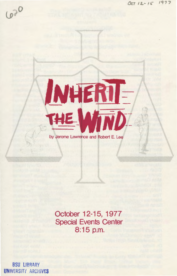$2^{\mathcal{O}}$  $\sim$ 



by Jerome Lawrence and Robert E. Lee

**October 12-15, 1977 Special Events Center 8:15p.m.** 

BSU LIBRARY UNIVERSITY ARCHIVES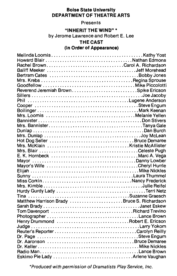## **Boise State University DEPARTMENT OF THEATRE ARTS**

### Presents

#### **"INHERIT THE WIND"\***

by Jerome Lawrence and Robert E. Lee

# **THE CAST**

# (In **Order of Appearance)**

| Rachel BrownCarol A. Richardson            |  |
|--------------------------------------------|--|
|                                            |  |
| Bertram Cates Bobby Jones                  |  |
|                                            |  |
|                                            |  |
| Reverend Jeremiah BrownSpike Ericson       |  |
|                                            |  |
|                                            |  |
|                                            |  |
|                                            |  |
| Mrs. Loomis Melanie Yellen                 |  |
|                                            |  |
|                                            |  |
|                                            |  |
|                                            |  |
|                                            |  |
|                                            |  |
|                                            |  |
|                                            |  |
|                                            |  |
|                                            |  |
|                                            |  |
|                                            |  |
| Miss CorkinNancy Frederick                 |  |
|                                            |  |
|                                            |  |
|                                            |  |
| Matthew Harrison Brady Bruce S. Richardson |  |
|                                            |  |
|                                            |  |
| Tom Davenport Richard Trevino              |  |
|                                            |  |
| Henry Drummond Robert E. Ericson           |  |
|                                            |  |
|                                            |  |
|                                            |  |
|                                            |  |
|                                            |  |
|                                            |  |
|                                            |  |

\*Produced with permission of Dramatists Play Service, Inc.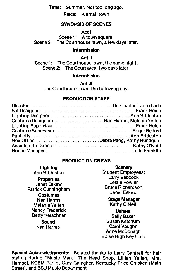**Time:** Summer. Not too long ago.

**Place: A** small town

## **SYNOPSIS OF SCENES**

**Act** I

Scene 1: A town square. Scene 2: The Courthouse lawn, a few days later.

#### **Intermission**

#### **Act** II

Scene 1: The Courthouse lawn, the same night. Scene 2: The Court area, two days later.

#### **Intermission**

**Act** Ill

The Courthouse lawn, the following day.

## **PRODUCTION STAFF**

| Director Dr. Charles Lauterbach             |  |
|---------------------------------------------|--|
|                                             |  |
|                                             |  |
| Costume Designers Nan Harms, Melanie Yellen |  |
|                                             |  |
|                                             |  |
|                                             |  |
| Box Office Debra Pang, Kathy Rundquist      |  |
|                                             |  |
| House ManagerJulia Franklin                 |  |

### **PRODUCTION CREWS**

#### **Lighting**  Ann Bittleston **Properties**  Janet Eskew Patrick Cunningham **Costumes**  Nan Harms Melanie Yellen Nancy Frederick Betty Kerschner

## **Sound**

Nan Harms

**Scenery**  Student Employees: Larry Babcock Leslie Fowler Bruce Richardson Janet Eskew

#### **Stage Manager**  Kathy O'Neill

**Ushers**  Sally Baker Susan Ketchum Carol Vaughn Anne McDonagh Boise High Key Club

**Special Acknowledgments:** Belated thanks to Larry Cantrell for hair styling during "Music Man," The Head Shop, Lillian Yellen, Mrs. Hempel, KGEM Radio, Gary Galagher, Kentucky Fried Chicken (Main Street), and BSU Music Department